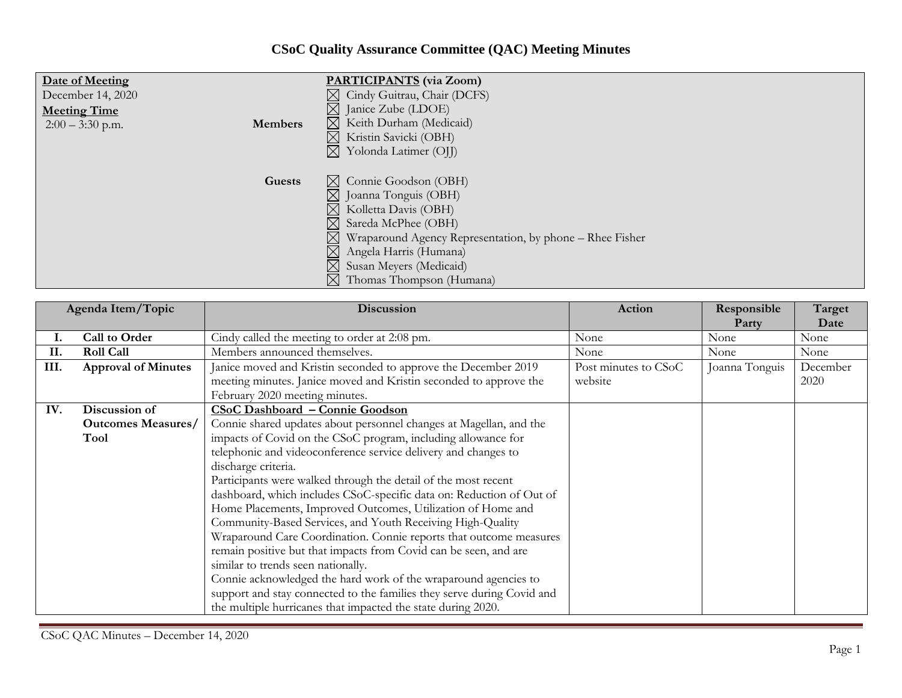## **CSoC Quality Assurance Committee (QAC) Meeting Minutes**

| Date of Meeting     |                | <b>PARTICIPANTS</b> (via Zoom)                                       |
|---------------------|----------------|----------------------------------------------------------------------|
| December 14, 2020   |                | $\boxtimes$ Cindy Guitrau, Chair (DCFS)                              |
| <b>Meeting Time</b> |                | $\boxtimes$ Janice Zube (LDOE)                                       |
| $2:00 - 3:30$ p.m.  | <b>Members</b> | $\boxtimes$ Keith Durham (Medicaid)                                  |
|                     |                | $\boxtimes$ Kristin Savicki (OBH)                                    |
|                     |                | Yolonda Latimer (OJJ)<br>$\boxtimes$                                 |
|                     |                |                                                                      |
|                     | Guests         | $\boxtimes$ Connie Goodson (OBH)                                     |
|                     |                | $\boxtimes$ Joanna Tonguis (OBH)                                     |
|                     |                | $\boxtimes$ Kolletta Davis (OBH)                                     |
|                     |                | $\boxtimes$ Sareda McPhee (OBH)                                      |
|                     |                | $\boxtimes$ Wraparound Agency Representation, by phone – Rhee Fisher |
|                     |                | $\boxtimes$ Angela Harris (Humana)                                   |
|                     |                | $\boxtimes$ Susan Meyers (Medicaid)                                  |
|                     |                | $\boxtimes$ Thomas Thompson (Humana)                                 |

| Agenda Item/Topic |                            | <b>Discussion</b>                                                      | Action               | Responsible<br>Party | Target<br>Date |
|-------------------|----------------------------|------------------------------------------------------------------------|----------------------|----------------------|----------------|
|                   | Call to Order              | Cindy called the meeting to order at 2:08 pm.                          | None                 | None                 | None           |
| II.               | <b>Roll Call</b>           | Members announced themselves.                                          | None                 | None                 | None           |
| III.              | <b>Approval of Minutes</b> | Janice moved and Kristin seconded to approve the December 2019         | Post minutes to CSoC | Joanna Tonguis       | December       |
|                   |                            | meeting minutes. Janice moved and Kristin seconded to approve the      | website              |                      | 2020           |
|                   |                            | February 2020 meeting minutes.                                         |                      |                      |                |
| IV.               | Discussion of              | <b>CSoC Dashboard - Connie Goodson</b>                                 |                      |                      |                |
|                   | <b>Outcomes Measures/</b>  | Connie shared updates about personnel changes at Magellan, and the     |                      |                      |                |
|                   | Tool                       | impacts of Covid on the CSoC program, including allowance for          |                      |                      |                |
|                   |                            | telephonic and videoconference service delivery and changes to         |                      |                      |                |
|                   |                            | discharge criteria.                                                    |                      |                      |                |
|                   |                            | Participants were walked through the detail of the most recent         |                      |                      |                |
|                   |                            | dashboard, which includes CSoC-specific data on: Reduction of Out of   |                      |                      |                |
|                   |                            | Home Placements, Improved Outcomes, Utilization of Home and            |                      |                      |                |
|                   |                            | Community-Based Services, and Youth Receiving High-Quality             |                      |                      |                |
|                   |                            | Wraparound Care Coordination. Connie reports that outcome measures     |                      |                      |                |
|                   |                            | remain positive but that impacts from Covid can be seen, and are       |                      |                      |                |
|                   |                            | similar to trends seen nationally.                                     |                      |                      |                |
|                   |                            | Connie acknowledged the hard work of the wraparound agencies to        |                      |                      |                |
|                   |                            | support and stay connected to the families they serve during Covid and |                      |                      |                |
|                   |                            | the multiple hurricanes that impacted the state during 2020.           |                      |                      |                |